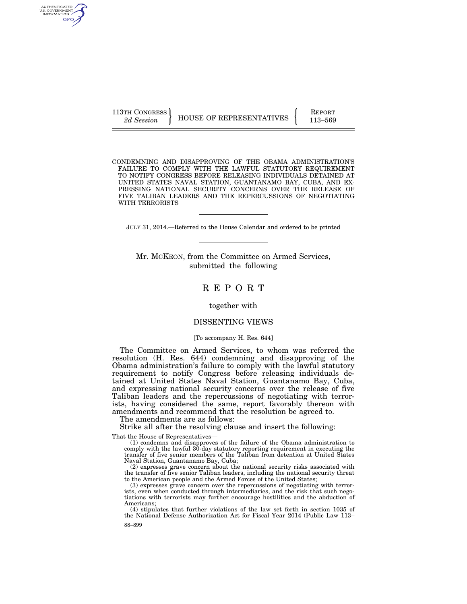AUTHENTICATED<br>U.S. GOVERNMENT<br>INFORMATION GPO

113TH CONGRESS HOUSE OF REPRESENTATIVES FEPORT 113–569

CONDEMNING AND DISAPPROVING OF THE OBAMA ADMINISTRATION'S FAILURE TO COMPLY WITH THE LAWFUL STATUTORY REQUIREMENT TO NOTIFY CONGRESS BEFORE RELEASING INDIVIDUALS DETAINED AT UNITED STATES NAVAL STATION, GUANTANAMO BAY, CUBA, AND EX-PRESSING NATIONAL SECURITY CONCERNS OVER THE RELEASE OF FIVE TALIBAN LEADERS AND THE REPERCUSSIONS OF NEGOTIATING WITH TERRORISTS

JULY 31, 2014.—Referred to the House Calendar and ordered to be printed

Mr. MCKEON, from the Committee on Armed Services, submitted the following

# R E P O R T

### together with

### DISSENTING VIEWS

#### [To accompany H. Res. 644]

The Committee on Armed Services, to whom was referred the resolution (H. Res. 644) condemning and disapproving of the Obama administration's failure to comply with the lawful statutory requirement to notify Congress before releasing individuals detained at United States Naval Station, Guantanamo Bay, Cuba, and expressing national security concerns over the release of five Taliban leaders and the repercussions of negotiating with terrorists, having considered the same, report favorably thereon with amendments and recommend that the resolution be agreed to.

The amendments are as follows:

Strike all after the resolving clause and insert the following:

That the House of Representatives—

(1) condemns and disapproves of the failure of the Obama administration to comply with the lawful 30-day statutory reporting requirement in executing the transfer of five senior members of the Taliban from detention at United States Naval Station, Guantanamo Bay, Cuba;

(2) expresses grave concern about the national security risks associated with the transfer of five senior Taliban leaders, including the national security threat to the American people and the Armed Forces of the United States;

(3) expresses grave concern over the repercussions of negotiating with terrorists, even when conducted through intermediaries, and the risk that such negotiations with terrorists may further encourage hostilities and the abduction of Americans;

88–899 (4) stipulates that further violations of the law set forth in section 1035 of the National Defense Authorization Act for Fiscal Year 2014 (Public Law 113–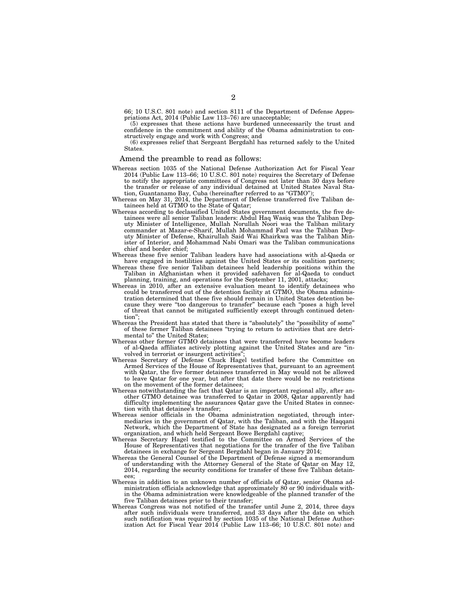66; 10 U.S.C. 801 note) and section 8111 of the Department of Defense Appropriations Act, 2014 (Public Law 113–76) are unacceptable;

(5) expresses that these actions have burdened unnecessarily the trust and confidence in the commitment and ability of the Obama administration to constructively engage and work with Congress; and

(6) expresses relief that Sergeant Bergdahl has returned safely to the United States.

### Amend the preamble to read as follows:

- Whereas section 1035 of the National Defense Authorization Act for Fiscal Year 2014 (Public Law 113–66; 10 U.S.C. 801 note) requires the Secretary of Defense to notify the appropriate committees of Congress not later than 30 days before the transfer or release of any individual detained at United States Naval Station, Guantanamo Bay, Cuba (hereinafter referred to as ''GTMO'');
- Whereas on May 31, 2014, the Department of Defense transferred five Taliban detainees held at GTMO to the State of Qatar;
- Whereas according to declassified United States government documents, the five detainees were all senior Taliban leaders: Abdul Haq Wasiq was the Taliban Deputy Minister of Intelligence, Mullah Norullah Noori was the Taliban military commander at Mazar-e-Sharif, Mullah Mohammad Fazl was the Taliban Deputy Minister of Defense, Khairullah Said Wai Khairkwa was the Taliban Minister of Interior, and Mohammad Nabi Omari was the Taliban communications chief and border chief;
- Whereas these five senior Taliban leaders have had associations with al-Qaeda or have engaged in hostilities against the United States or its coalition partners;
- Whereas these five senior Taliban detainees held leadership positions within the Taliban in Afghanistan when it provided safehaven for al-Qaeda to conduct planning, training, and operations for the September 11, 2001, attacks;
- Whereas in 2010, after an extensive evaluation meant to identify detainees who could be transferred out of the detention facility at GTMO, the Obama administration determined that these five should remain in United States detention because they were ''too dangerous to transfer'' because each ''poses a high level of threat that cannot be mitigated sufficiently except through continued detention"
- Whereas the President has stated that there is "absolutely" the "possibility of some" of these former Taliban detainees ''trying to return to activities that are detrimental to'' the United States;
- Whereas other former GTMO detainees that were transferred have become leaders of al-Qaeda affiliates actively plotting against the United States and are ''involved in terrorist or insurgent activities'
- Whereas Secretary of Defense Chuck Hagel testified before the Committee on Armed Services of the House of Representatives that, pursuant to an agreement with Qatar, the five former detainees transferred in May would not be allowed to leave Qatar for one year, but after that date there would be no restrictions on the movement of the former detainees;
- Whereas notwithstanding the fact that Qatar is an important regional ally, after another GTMO detainee was transferred to Qatar in 2008, Qatar apparently had difficulty implementing the assurances Qatar gave the United States in connection with that detainee's transfer;
- Whereas senior officials in the Obama administration negotiated, through intermediaries in the government of Qatar, with the Taliban, and with the Haqqani Network, which the Department of State has designated as a foreign terrorist organization, and which held Sergeant Bowe Bergdahl captive;
- Whereas Secretary Hagel testified to the Committee on Armed Services of the House of Representatives that negotiations for the transfer of the five Taliban detainees in exchange for Sergeant Bergdahl began in January 2014;
- Whereas the General Counsel of the Department of Defense signed a memorandum of understanding with the Attorney General of the State of Qatar on May 12, 2014, regarding the security conditions for transfer of these five Taliban detainees;
- Whereas in addition to an unknown number of officials of Qatar, senior Obama administration officials acknowledge that approximately 80 or 90 individuals within the Obama administration were knowledgeable of the planned transfer of the five Taliban detainees prior to their transfer;
- Whereas Congress was not notified of the transfer until June 2, 2014, three days after such individuals were transferred, and 33 days after the date on which such notification was required by section 1035 of the National Defense Authorization Act for Fiscal Year 2014 (Public Law 113–66; 10 U.S.C. 801 note) and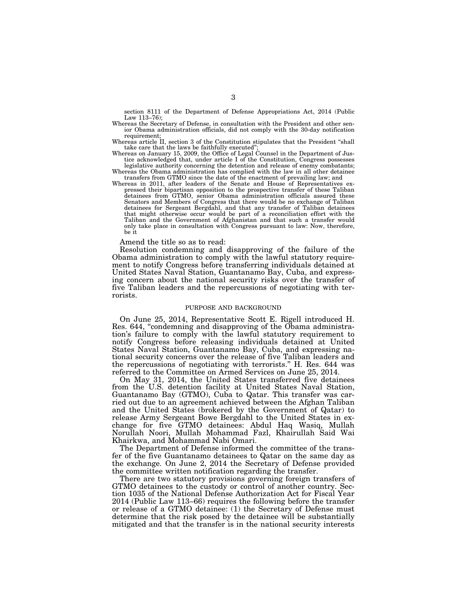section 8111 of the Department of Defense Appropriations Act, 2014 (Public Law 113–76);

- Whereas the Secretary of Defense, in consultation with the President and other senior Obama administration officials, did not comply with the 30-day notification requirement:
- Whereas article II, section 3 of the Constitution stipulates that the President "shall take care that the laws be faithfully executed'
- Whereas on January 15, 2009, the Office of Legal Counsel in the Department of Jus-tice acknowledged that, under article I of the Constitution, Congress possesses legislative authority concerning the detention and release of enemy combatants;

Whereas the Obama administration has complied with the law in all other detainee transfers from GTMO since the date of the enactment of prevailing law; and

Whereas in 2011, after leaders of the Senate and House of Representatives expressed their bipartisan opposition to the prospective transfer of these Taliban detainees from GTMO, senior Obama administration officials assured these Senators and Members of Congress that there would be no exchange of Taliban detainees for Sergeant Bergdahl, and that any transfer of Taliban detainees that might otherwise occur would be part of a reconciliation effort with the Taliban and the Government of Afghanistan and that such a transfer would only take place in consultation with Congress pursuant to law: Now, therefore, be it

Amend the title so as to read:

Resolution condemning and disapproving of the failure of the Obama administration to comply with the lawful statutory requirement to notify Congress before transferring individuals detained at United States Naval Station, Guantanamo Bay, Cuba, and expressing concern about the national security risks over the transfer of five Taliban leaders and the repercussions of negotiating with terrorists.

#### PURPOSE AND BACKGROUND

On June 25, 2014, Representative Scott E. Rigell introduced H. Res. 644, "condemning and disapproving of the Obama administration's failure to comply with the lawful statutory requirement to notify Congress before releasing individuals detained at United States Naval Station, Guantanamo Bay, Cuba, and expressing national security concerns over the release of five Taliban leaders and the repercussions of negotiating with terrorists.'' H. Res. 644 was referred to the Committee on Armed Services on June 25, 2014.

On May 31, 2014, the United States transferred five detainees from the U.S. detention facility at United States Naval Station, Guantanamo Bay (GTMO), Cuba to Qatar. This transfer was carried out due to an agreement achieved between the Afghan Taliban and the United States (brokered by the Government of Qatar) to release Army Sergeant Bowe Bergdahl to the United States in exchange for five GTMO detainees: Abdul Haq Wasiq, Mullah Norullah Noori, Mullah Mohammad Fazl, Khairullah Said Wai Khairkwa, and Mohammad Nabi Omari.

The Department of Defense informed the committee of the transfer of the five Guantanamo detainees to Qatar on the same day as the exchange. On June 2, 2014 the Secretary of Defense provided the committee written notification regarding the transfer.

There are two statutory provisions governing foreign transfers of GTMO detainees to the custody or control of another country. Section 1035 of the National Defense Authorization Act for Fiscal Year 2014 (Public Law 113–66) requires the following before the transfer or release of a GTMO detainee: (1) the Secretary of Defense must determine that the risk posed by the detainee will be substantially mitigated and that the transfer is in the national security interests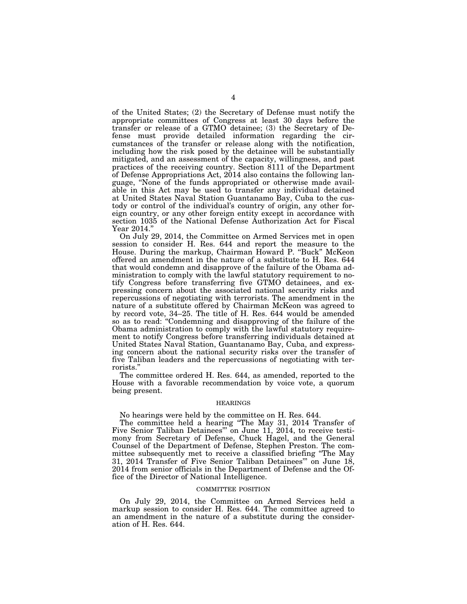of the United States; (2) the Secretary of Defense must notify the appropriate committees of Congress at least 30 days before the transfer or release of a GTMO detainee; (3) the Secretary of Defense must provide detailed information regarding the circumstances of the transfer or release along with the notification, including how the risk posed by the detainee will be substantially mitigated, and an assessment of the capacity, willingness, and past practices of the receiving country. Section 8111 of the Department of Defense Appropriations Act, 2014 also contains the following language, ''None of the funds appropriated or otherwise made available in this Act may be used to transfer any individual detained at United States Naval Station Guantanamo Bay, Cuba to the custody or control of the individual's country of origin, any other foreign country, or any other foreign entity except in accordance with section 1035 of the National Defense Authorization Act for Fiscal Year 2014.''

On July 29, 2014, the Committee on Armed Services met in open session to consider H. Res. 644 and report the measure to the House. During the markup, Chairman Howard P. "Buck" McKeon offered an amendment in the nature of a substitute to H. Res. 644 that would condemn and disapprove of the failure of the Obama administration to comply with the lawful statutory requirement to notify Congress before transferring five GTMO detainees, and expressing concern about the associated national security risks and repercussions of negotiating with terrorists. The amendment in the nature of a substitute offered by Chairman McKeon was agreed to by record vote, 34–25. The title of H. Res. 644 would be amended so as to read: ''Condemning and disapproving of the failure of the Obama administration to comply with the lawful statutory requirement to notify Congress before transferring individuals detained at United States Naval Station, Guantanamo Bay, Cuba, and expressing concern about the national security risks over the transfer of five Taliban leaders and the repercussions of negotiating with terrorists.''

The committee ordered H. Res. 644, as amended, reported to the House with a favorable recommendation by voice vote, a quorum being present.

#### **HEARINGS**

No hearings were held by the committee on H. Res. 644.

The committee held a hearing ''The May 31, 2014 Transfer of Five Senior Taliban Detainees''' on June 11, 2014, to receive testimony from Secretary of Defense, Chuck Hagel, and the General Counsel of the Department of Defense, Stephen Preston. The committee subsequently met to receive a classified briefing ''The May 31, 2014 Transfer of Five Senior Taliban Detainees''' on June 18, 2014 from senior officials in the Department of Defense and the Office of the Director of National Intelligence.

#### COMMITTEE POSITION

On July 29, 2014, the Committee on Armed Services held a markup session to consider H. Res. 644. The committee agreed to an amendment in the nature of a substitute during the consideration of H. Res. 644.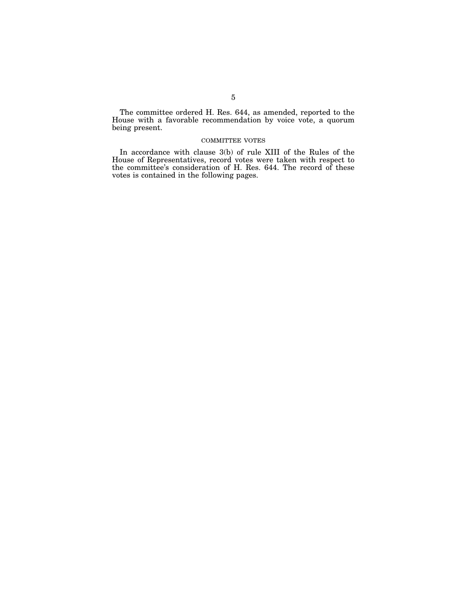The committee ordered H. Res. 644, as amended, reported to the House with a favorable recommendation by voice vote, a quorum being present.

### COMMITTEE VOTES

In accordance with clause 3(b) of rule XIII of the Rules of the House of Representatives, record votes were taken with respect to the committee's consideration of H. Res. 644. The record of these votes is contained in the following pages.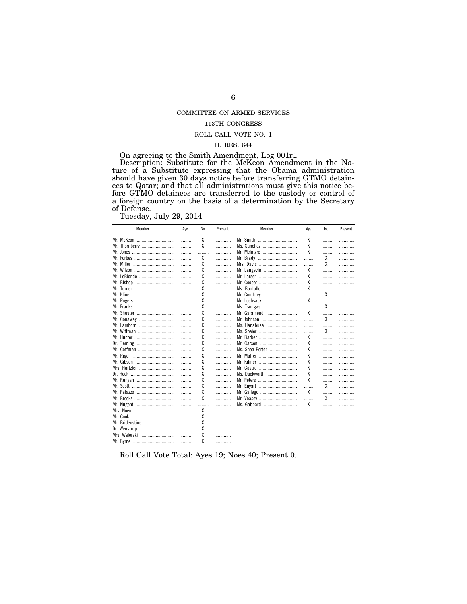# COMMITTEE ON ARMED SERVICES

# 113TH CONGRESS

### ROLL CALL VOTE NO.  $1\,$

### H. RES. 644

On agreeing to the Smith Amendment, Log 001r1

On agreeing to the Smith Amendment, Log offer<br>Description: Substitute for the McKeon Amendment in the Na-<br>ture of a Substitute expressing that the Obama administration<br>should have given 30 days notice before transferring G of Defense.

Tuesday, July 29, 2014

| Member          | Aye | No | Present | Member          | Aye | No | Present |
|-----------------|-----|----|---------|-----------------|-----|----|---------|
| Mr. McKeon      | .   | χ  | .       | Mr. Smith       | χ   | .  | .       |
| Mr. Thornberry  | .   | χ  | .       | Ms. Sanchez     | χ   |    | .       |
|                 | .   | .  | .       | Mr. McIntyre    | χ   | .  | .       |
|                 | .   | χ  | .       | Mr. Brady       | .   | χ  | .       |
|                 | .   | χ  | .       | Mrs. Davis      | .   | χ  | .       |
| Mr. Wilson      | .   | χ  | .       | Mr. Langevin    | χ   |    | .       |
| Mr. LoBiondo    | .   | χ  | .       | Mr. Larsen      | χ   | .  | .       |
| Mr. Bishop      | .   | χ  | .       | Mr. Cooper      | χ   | .  | .       |
|                 | .   | χ  | .       | Ms. Bordallo    | χ   | .  | .       |
|                 | .   | χ  | .       | Mr. Courtney    | .   | X  | .       |
| Mr. Rogers      | .   | χ  | .       | Mr. Loebsack    | χ   | .  | .       |
| Mr. Franks      | .   | χ  | .       | Ms. Tsongas     | .   | χ  | .       |
| Mr. Shuster     | .   | χ  | .       | Mr. Garamendi   | X   | .  | .       |
| Mr. Conaway     | .   | χ  | .       | Mr. Johnson     |     | X  | .       |
| Mr. Lamborn     | .   | χ  | .       | Ms. Hanabusa    | .   | .  | .       |
| Mr. Wittman     | .   | χ  | .       | Ms. Speier      | .   | χ  | .       |
|                 | .   | χ  |         | Mr. Barber      | χ   | .  | .       |
| Dr. Fleming     | .   | χ  | .       | Mr. Carson      | χ   |    | .       |
| Mr. Coffman     | .   | χ  | .       | Ms. Shea-Porter | χ   |    | .       |
|                 | .   | χ  | .       | Mr. Maffei      | χ   | .  | .       |
| Mr. Gibson      | .   | χ  | .       | Mr. Kilmer      | χ   | .  | .       |
| Mrs. Hartzler   | .   | χ  | .       | Mr. Castro      | χ   | .  | .       |
|                 | .   | χ  | .       | Ms. Duckworth   | χ   | .  | .       |
| Mr. Runyan      | .   | χ  | .       |                 | χ   |    | .       |
|                 | .   | χ  | .       | Mr. Enyart      | .   | χ  | .       |
| Mr. Palazzo     | .   | χ  | .       | Mr. Gallego     | χ   | .  | .       |
|                 | .   | χ  | .       | Mr. Veasey      | .   | χ  | .       |
| Mr. Nugent      | .   | .  | .       | Ms. Gabbard     | χ   | .  | .       |
| Mrs. Noem       | .   | χ  | .       |                 |     |    |         |
|                 | .   | χ  |         |                 |     |    |         |
| Mr. Bridenstine | .   | χ  |         |                 |     |    |         |
| Dr. Wenstrup    | .   | χ  |         |                 |     |    |         |
| Mrs. Walorski   | .   | χ  |         |                 |     |    |         |
|                 | .   | χ  |         |                 |     |    |         |

Roll Call Vote Total: Ayes 19; Noes 40; Present 0.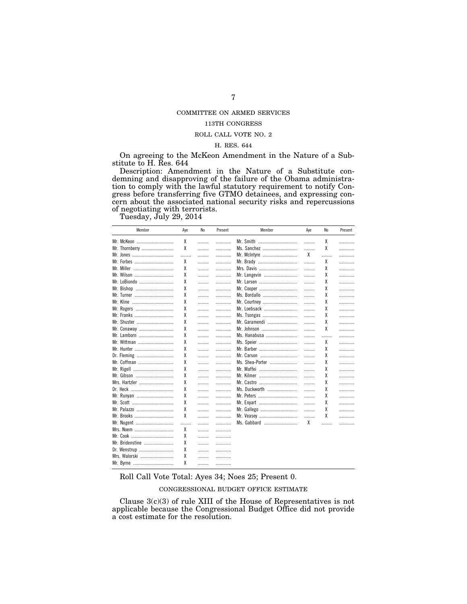# COMMITTEE ON ARMED SERVICES

## 113TH CONGRESS

### ROLL CALL VOTE NO.  $2\,$

### H. RES. 644

On agreeing to the McKeon Amendment in the Nature of a Substitute to H. Res. 644

Description: Amendment in the Nature of a Substitute condemning and disapproving of the failure of the Obama administration to comply with the lawful statutory requirement to notify Congress before transferring five GTMO detainees, and expressing concern about the associated national security risks and repercussions of negotiating with terrorists.

Tuesday, July 29, 2014

| Member          | Aye | No | Present | Member          | Aye | N <sub>0</sub> | Present |
|-----------------|-----|----|---------|-----------------|-----|----------------|---------|
| Mr. McKeon      | χ   | .  | .       | Mr. Smith       | .   | χ              | .       |
| Mr. Thornberry  | χ   | .  | .       | Ms. Sanchez     | .   | χ              | .       |
|                 | .   | .  | .       | Mr. McIntyre    | X   | .              | .       |
|                 | χ   | .  | .       | Mr. Brady       | .   | χ              | .       |
|                 | χ   | .  | .       | Mrs. Davis      | .   | χ              | .       |
|                 | χ   | .  | .       | Mr. Langevin    | .   | χ              | .       |
| Mr. LoBiondo    | χ   | .  | .       |                 | .   | χ              | .       |
| Mr. Bishop      | χ   | .  | .       | Mr. Cooper      | .   | χ              | .       |
|                 | χ   | .  | .       | Ms. Bordallo    | .   | χ              | .       |
|                 | χ   | .  | .       | Mr. Courtney    | .   | χ              | .       |
| Mr. Rogers      | χ   | .  | .       | Mr. Loebsack    | .   | χ              | .       |
|                 | χ   | .  | .       | Ms. Tsongas     | .   | χ              | .       |
| Mr. Shuster     | χ   | .  | .       | Mr. Garamendi   | .   | χ              | .       |
| Mr. Conaway     | χ   | .  | .       | Mr. Johnson     | .   | χ              | .       |
| Mr. Lamborn     | χ   | .  | .       | Ms. Hanabusa    | .   | .              | .       |
| Mr. Wittman     | χ   | .  | .       | Ms. Speier      | .   | χ              | .       |
|                 | χ   | .  | .       | Mr. Barber      | .   | χ              | .       |
| Dr. Fleming     | χ   | .  | .       | Mr. Carson      | .   | χ              | .       |
| Mr. Coffman     | χ   | .  | .       | Ms. Shea-Porter | .   | χ              | .       |
|                 | χ   | .  | .       | Mr. Maffei      | .   | χ              | .       |
|                 | χ   | .  | .       | Mr. Kilmer      | .   | χ              | .       |
| Mrs. Hartzler   | χ   | .  | .       | Mr. Castro      | .   | χ              | .       |
|                 | χ   | .  | .       | Ms. Duckworth   | .   | χ              | .       |
| Mr. Runyan      | χ   | .  | .       |                 | .   | χ              | .       |
|                 | χ   | .  | .       | Mr. Enyart      | .   | χ              | .       |
| Mr. Palazzo     | χ   | .  | .       | Mr. Gallego     | .   | χ              | .       |
|                 | χ   | .  | .       | Mr. Veasey      | .   | χ              | .       |
| Mr. Nugent      |     | .  |         | Ms. Gabbard     | X   | .              | .       |
| Mrs. Noem       | χ   | .  | .       |                 |     |                |         |
|                 | χ   | .  | .       |                 |     |                |         |
| Mr. Bridenstine | χ   | .  | .       |                 |     |                |         |
| Dr. Wenstrup    | χ   | .  |         |                 |     |                |         |
| Mrs. Walorski   | χ   | .  | .       |                 |     |                |         |
|                 | χ   | .  |         |                 |     |                |         |

Roll Call Vote Total: Ayes 34; Noes 25; Present 0.

CONGRESSIONAL BUDGET OFFICE ESTIMATE

Clause  $3(c)(3)$  of rule XIII of the House of Representatives is not applicable because the Congressional Budget Office did not provide a cost estimate for the resolution.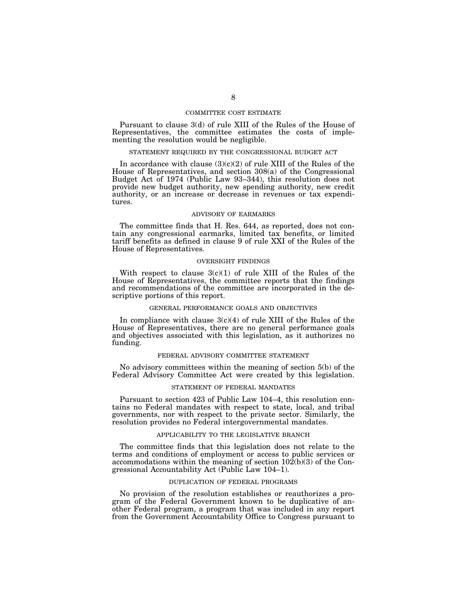### COMMITTEE COST ESTIMATE

Pursuant to clause 3(d) of rule XIII of the Rules of the House of Representatives, the committee estimates the costs of implementing the resolution would be negligible.

#### STATEMENT REQUIRED BY THE CONGRESSIONAL BUDGET ACT

In accordance with clause  $(3)(c)(2)$  of rule XIII of the Rules of the House of Representatives, and section 308(a) of the Congressional Budget Act of 1974 (Public Law 93–344), this resolution does not provide new budget authority, new spending authority, new credit authority, or an increase or decrease in revenues or tax expenditures.

#### ADVISORY OF EARMARKS

The committee finds that H. Res. 644, as reported, does not contain any congressional earmarks, limited tax benefits, or limited tariff benefits as defined in clause 9 of rule XXI of the Rules of the House of Representatives.

#### OVERSIGHT FINDINGS

With respect to clause  $3(c)(1)$  of rule XIII of the Rules of the House of Representatives, the committee reports that the findings and recommendations of the committee are incorporated in the descriptive portions of this report.

#### GENERAL PERFORMANCE GOALS AND OBJECTIVES

In compliance with clause  $3(c)(4)$  of rule XIII of the Rules of the House of Representatives, there are no general performance goals and objectives associated with this legislation, as it authorizes no funding.

#### FEDERAL ADVISORY COMMITTEE STATEMENT

No advisory committees within the meaning of section 5(b) of the Federal Advisory Committee Act were created by this legislation.

### STATEMENT OF FEDERAL MANDATES

Pursuant to section 423 of Public Law 104–4, this resolution contains no Federal mandates with respect to state, local, and tribal governments, nor with respect to the private sector. Similarly, the resolution provides no Federal intergovernmental mandates.

#### APPLICABILITY TO THE LEGISLATIVE BRANCH

The committee finds that this legislation does not relate to the terms and conditions of employment or access to public services or accommodations within the meaning of section  $10\overline{2(b)(3)}$  of the Congressional Accountability Act (Public Law 104–1).

### DUPLICATION OF FEDERAL PROGRAMS

No provision of the resolution establishes or reauthorizes a program of the Federal Government known to be duplicative of another Federal program, a program that was included in any report from the Government Accountability Office to Congress pursuant to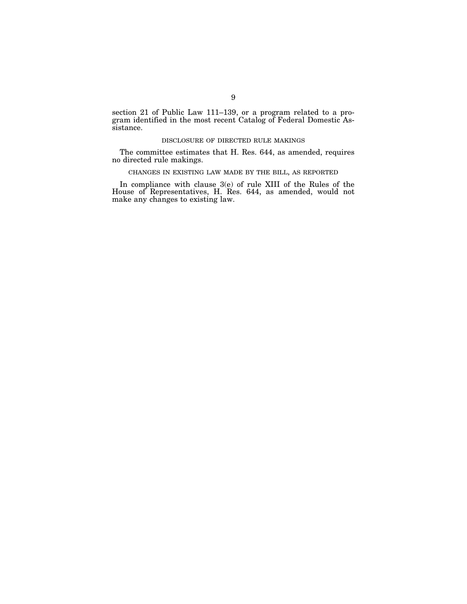section 21 of Public Law 111–139, or a program related to a program identified in the most recent Catalog of Federal Domestic Assistance.

### DISCLOSURE OF DIRECTED RULE MAKINGS

The committee estimates that H. Res. 644, as amended, requires no directed rule makings.

## CHANGES IN EXISTING LAW MADE BY THE BILL, AS REPORTED

In compliance with clause 3(e) of rule XIII of the Rules of the House of Representatives, H. Res. 644, as amended, would not make any changes to existing law.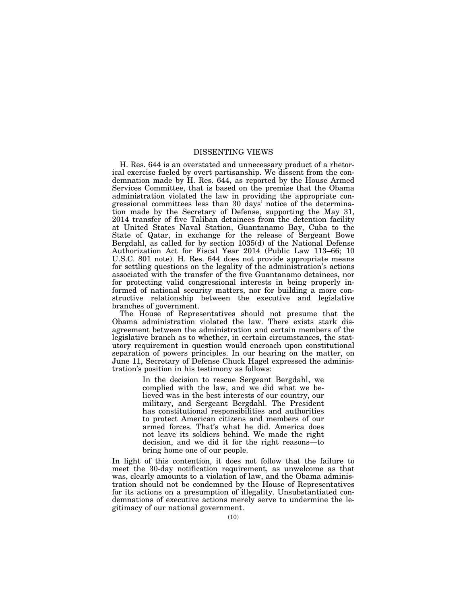### DISSENTING VIEWS

H. Res. 644 is an overstated and unnecessary product of a rhetorical exercise fueled by overt partisanship. We dissent from the condemnation made by H. Res. 644, as reported by the House Armed Services Committee, that is based on the premise that the Obama administration violated the law in providing the appropriate congressional committees less than 30 days' notice of the determination made by the Secretary of Defense, supporting the May 31, 2014 transfer of five Taliban detainees from the detention facility at United States Naval Station, Guantanamo Bay, Cuba to the State of Qatar, in exchange for the release of Sergeant Bowe Bergdahl, as called for by section 1035(d) of the National Defense Authorization Act for Fiscal Year 2014 (Public Law 113–66; 10 U.S.C. 801 note). H. Res. 644 does not provide appropriate means for settling questions on the legality of the administration's actions associated with the transfer of the five Guantanamo detainees, nor for protecting valid congressional interests in being properly informed of national security matters, nor for building a more constructive relationship between the executive and legislative branches of government.

The House of Representatives should not presume that the Obama administration violated the law. There exists stark disagreement between the administration and certain members of the legislative branch as to whether, in certain circumstances, the statutory requirement in question would encroach upon constitutional separation of powers principles. In our hearing on the matter, on June 11, Secretary of Defense Chuck Hagel expressed the administration's position in his testimony as follows:

> In the decision to rescue Sergeant Bergdahl, we complied with the law, and we did what we believed was in the best interests of our country, our military, and Sergeant Bergdahl. The President has constitutional responsibilities and authorities to protect American citizens and members of our armed forces. That's what he did. America does not leave its soldiers behind. We made the right decision, and we did it for the right reasons—to bring home one of our people.

In light of this contention, it does not follow that the failure to meet the 30-day notification requirement, as unwelcome as that was, clearly amounts to a violation of law, and the Obama administration should not be condemned by the House of Representatives for its actions on a presumption of illegality. Unsubstantiated condemnations of executive actions merely serve to undermine the legitimacy of our national government.